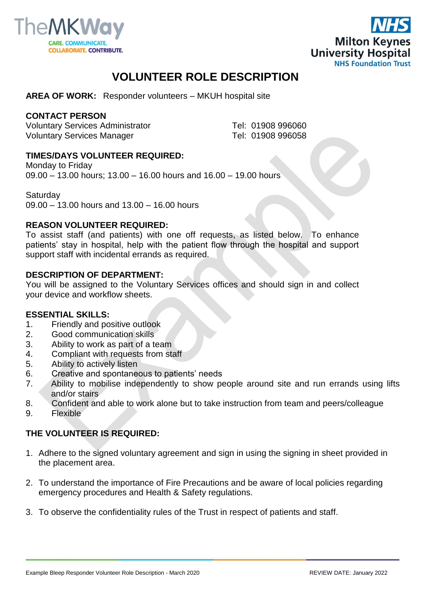



# **VOLUNTEER ROLE DESCRIPTION**

# **AREA OF WORK:** Responder volunteers – MKUH hospital site

# **CONTACT PERSON**

Voluntary Services Administrator Tel: 01908 996060 Voluntary Services Manager Tel: 01908 996058

# **TIMES/DAYS VOLUNTEER REQUIRED:**

Monday to Friday 09.00 – 13.00 hours; 13.00 – 16.00 hours and 16.00 – 19.00 hours

Saturday 09.00 – 13.00 hours and 13.00 – 16.00 hours

### **REASON VOLUNTEER REQUIRED:**

To assist staff (and patients) with one off requests, as listed below. To enhance patients' stay in hospital, help with the patient flow through the hospital and support support staff with incidental errands as required.

#### **DESCRIPTION OF DEPARTMENT:**

You will be assigned to the Voluntary Services offices and should sign in and collect your device and workflow sheets.

#### **ESSENTIAL SKILLS:**

- 1. Friendly and positive outlook
- 2. Good communication skills
- 3. Ability to work as part of a team
- 4. Compliant with requests from staff
- 5. Ability to actively listen
- 6. Creative and spontaneous to patients' needs
- 7. Ability to mobilise independently to show people around site and run errands using lifts and/or stairs
- 8. Confident and able to work alone but to take instruction from team and peers/colleague
- 9. Flexible

# **THE VOLUNTEER IS REQUIRED:**

- 1. Adhere to the signed voluntary agreement and sign in using the signing in sheet provided in the placement area.
- 2. To understand the importance of Fire Precautions and be aware of local policies regarding emergency procedures and Health & Safety regulations.
- 3. To observe the confidentiality rules of the Trust in respect of patients and staff.